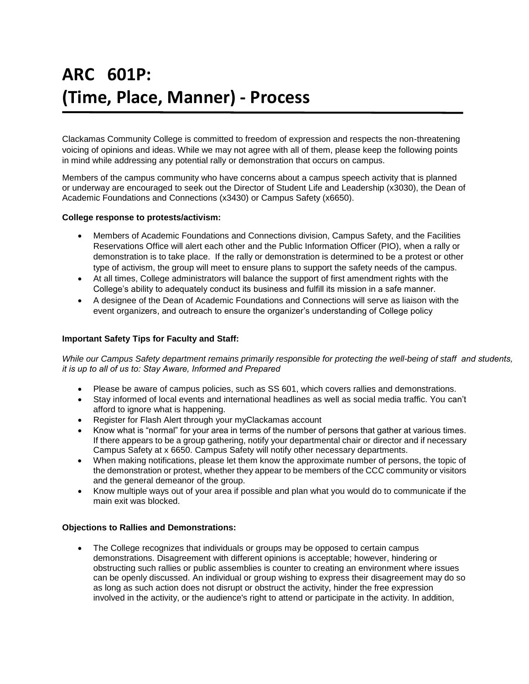# **ARC 601P: (Time, Place, Manner) - Process**

Clackamas Community College is committed to freedom of expression and respects the non-threatening voicing of opinions and ideas. While we may not agree with all of them, please keep the following points in mind while addressing any potential rally or demonstration that occurs on campus.

Members of the campus community who have concerns about a campus speech activity that is planned or underway are encouraged to seek out the Director of Student Life and Leadership (x3030), the Dean of Academic Foundations and Connections (x3430) or Campus Safety (x6650).

#### **College response to protests/activism:**

- Members of Academic Foundations and Connections division, Campus Safety, and the Facilities Reservations Office will alert each other and the Public Information Officer (PIO), when a rally or demonstration is to take place. If the rally or demonstration is determined to be a protest or other type of activism, the group will meet to ensure plans to support the safety needs of the campus.
- At all times, College administrators will balance the support of first amendment rights with the College's ability to adequately conduct its business and fulfill its mission in a safe manner.
- A designee of the Dean of Academic Foundations and Connections will serve as liaison with the event organizers, and outreach to ensure the organizer's understanding of College policy

#### **Important Safety Tips for Faculty and Staff:**

*While our Campus Safety department remains primarily responsible for protecting the well-being of staff and students, it is up to all of us to: Stay Aware, Informed and Prepared* 

- Please be aware of campus policies, such as SS 601, which covers rallies and demonstrations.
- Stay informed of local events and international headlines as well as social media traffic. You can't afford to ignore what is happening.
- Register for Flash Alert through your myClackamas account
- Know what is "normal" for your area in terms of the number of persons that gather at various times. If there appears to be a group gathering, notify your departmental chair or director and if necessary Campus Safety at x 6650. Campus Safety will notify other necessary departments.
- When making notifications, please let them know the approximate number of persons, the topic of the demonstration or protest, whether they appear to be members of the CCC community or visitors and the general demeanor of the group.
- Know multiple ways out of your area if possible and plan what you would do to communicate if the main exit was blocked.

### **Objections to Rallies and Demonstrations:**

• The College recognizes that individuals or groups may be opposed to certain campus demonstrations. Disagreement with different opinions is acceptable; however, hindering or obstructing such rallies or public assemblies is counter to creating an environment where issues can be openly discussed. An individual or group wishing to express their disagreement may do so as long as such action does not disrupt or obstruct the activity, hinder the free expression involved in the activity, or the audience's right to attend or participate in the activity. In addition,